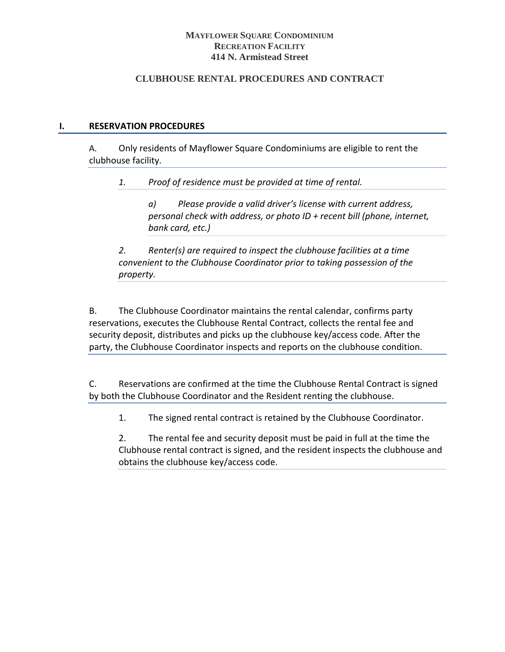## **MAYFLOWER SOUARE CONDOMINIUM RECREATION FACILITY 414 N. Armistead Street**

# **CLUBHOUSE RENTAL PROCEDURES AND CONTRACT**

# **I. RESERVATION PROCEDURES**

A. Only residents of Mayflower Square Condominiums are eligible to rent the clubhouse facility.

*1. Proof of residence must be provided at time of rental.* 

*a) Please provide a valid driver's license with current address, personal check with address, or photo ID + recent bill (phone, internet, bank card, etc.)*

*2. Renter(s) are required to inspect the clubhouse facilities at a time convenient to the Clubhouse Coordinator prior to taking possession of the property.*

B. The Clubhouse Coordinator maintains the rental calendar, confirms party reservations, executes the Clubhouse Rental Contract, collects the rental fee and security deposit, distributes and picks up the clubhouse key/access code. After the party, the Clubhouse Coordinator inspects and reports on the clubhouse condition.

C. Reservations are confirmed at the time the Clubhouse Rental Contract is signed by both the Clubhouse Coordinator and the Resident renting the clubhouse.

1. The signed rental contract is retained by the Clubhouse Coordinator.

2. The rental fee and security deposit must be paid in full at the time the Clubhouse rental contract is signed, and the resident inspects the clubhouse and obtains the clubhouse key/access code.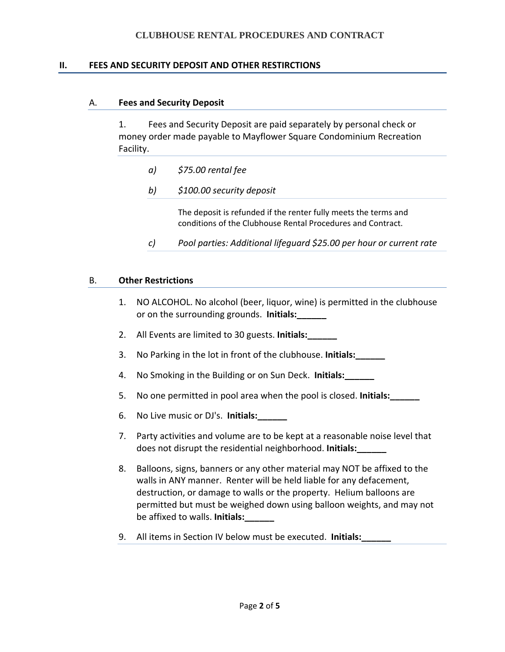## **CLUBHOUSE RENTAL PROCEDURES AND CONTRACT**

#### **II. FEES AND SECURITY DEPOSIT AND OTHER RESTIRCTIONS**

#### A. **Fees and Security Deposit**

1. Fees and Security Deposit are paid separately by personal check or money order made payable to Mayflower Square Condominium Recreation Facility.

- *a) \$75.00 rental fee*
- *b) \$100.00 security deposit*

The deposit is refunded if the renter fully meets the terms and conditions of the Clubhouse Rental Procedures and Contract.

*c) Pool parties: Additional lifeguard \$25.00 per hour or current rate*

#### B. **Other Restrictions**

- 1. NO ALCOHOL. No alcohol (beer, liquor, wine) is permitted in the clubhouse or on the surrounding grounds. **Initials:**
- 2. All Events are limited to 30 guests. **Initials:\_\_\_\_\_\_**
- 3. No Parking in the lot in front of the clubhouse. **Initials:\_\_\_\_\_\_**
- 4. No Smoking in the Building or on Sun Deck. **Initials:\_\_\_\_\_\_**
- 5. No one permitted in pool area when the pool is closed. **Initials:\_\_\_\_\_\_**
- 6. No Live music or DJ's. **Initials:\_\_\_\_\_\_**
- 7. Party activities and volume are to be kept at a reasonable noise level that does not disrupt the residential neighborhood. **Initials:\_\_\_\_\_\_**
- 8. Balloons, signs, banners or any other material may NOT be affixed to the walls in ANY manner. Renter will be held liable for any defacement, destruction, or damage to walls or the property. Helium balloons are permitted but must be weighed down using balloon weights, and may not be affixed to walls. **Initials:\_\_\_\_\_\_**
- 9. All items in Section IV below must be executed. **Initials:\_\_\_\_\_\_**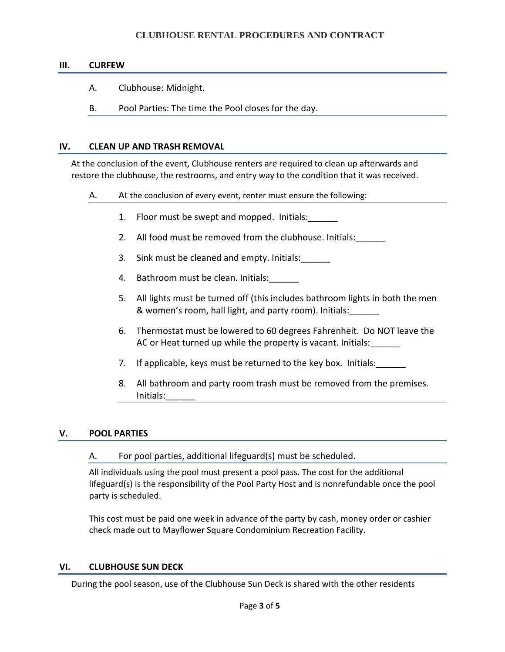# **CLUBHOUSE RENTAL PROCEDURES AND CONTRACT**

#### **III. CURFEW**

- A. Clubhouse: Midnight.
- B. Pool Parties: The time the Pool closes for the day.

#### **IV. CLEAN UP AND TRASH REMOVAL**

At the conclusion of the event, Clubhouse renters are required to clean up afterwards and restore the clubhouse, the restrooms, and entry way to the condition that it was received.

- A. At the conclusion of every event, renter must ensure the following:
	- 1. Floor must be swept and mopped. Initials:
	- 2. All food must be removed from the clubhouse. Initials:
	- 3. Sink must be cleaned and empty. Initials:
	- 4. Bathroom must be clean. Initials:\_\_\_\_\_\_
	- 5. All lights must be turned off (this includes bathroom lights in both the men & women's room, hall light, and party room). Initials:\_\_\_\_\_\_
	- 6. Thermostat must be lowered to 60 degrees Fahrenheit. Do NOT leave the AC or Heat turned up while the property is vacant. Initials:
	- 7. If applicable, keys must be returned to the key box. Initials:
	- 8. All bathroom and party room trash must be removed from the premises. Initials:\_\_\_\_\_\_

#### **V. POOL PARTIES**

#### A. For pool parties, additional lifeguard(s) must be scheduled.

All individuals using the pool must present a pool pass. The cost for the additional lifeguard(s) is the responsibility of the Pool Party Host and is nonrefundable once the pool party is scheduled.

This cost must be paid one week in advance of the party by cash, money order or cashier check made out to Mayflower Square Condominium Recreation Facility.

#### **VI. CLUBHOUSE SUN DECK**

During the pool season, use of the Clubhouse Sun Deck is shared with the other residents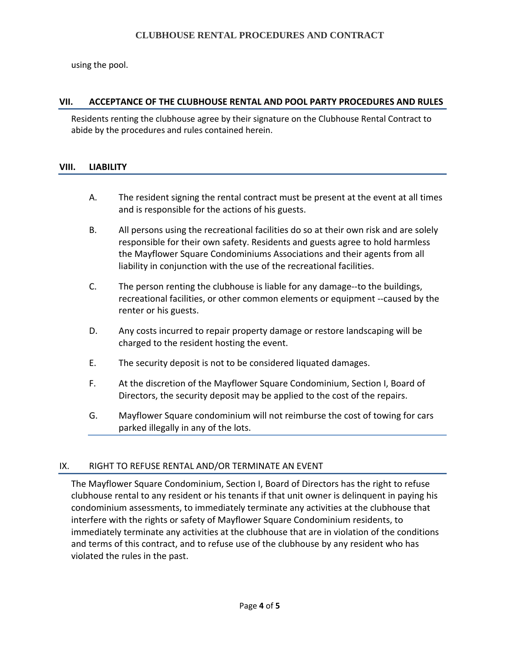using the pool.

# **VII. ACCEPTANCE OF THE CLUBHOUSE RENTAL AND POOL PARTY PROCEDURES AND RULES**

Residents renting the clubhouse agree by their signature on the Clubhouse Rental Contract to abide by the procedures and rules contained herein.

## **VIII. LIABILITY**

- A. The resident signing the rental contract must be present at the event at all times and is responsible for the actions of his guests.
- B. All persons using the recreational facilities do so at their own risk and are solely responsible for their own safety. Residents and guests agree to hold harmless the Mayflower Square Condominiums Associations and their agents from all liability in conjunction with the use of the recreational facilities.
- C. The person renting the clubhouse is liable for any damage‐‐to the buildings, recreational facilities, or other common elements or equipment ‐‐caused by the renter or his guests.
- D. Any costs incurred to repair property damage or restore landscaping will be charged to the resident hosting the event.
- E. The security deposit is not to be considered liquated damages.
- F. At the discretion of the Mayflower Square Condominium, Section I, Board of Directors, the security deposit may be applied to the cost of the repairs.
- G. Mayflower Square condominium will not reimburse the cost of towing for cars parked illegally in any of the lots.

## IX. RIGHT TO REFUSE RENTAL AND/OR TERMINATE AN EVENT

The Mayflower Square Condominium, Section I, Board of Directors has the right to refuse clubhouse rental to any resident or his tenants if that unit owner is delinquent in paying his condominium assessments, to immediately terminate any activities at the clubhouse that interfere with the rights or safety of Mayflower Square Condominium residents, to immediately terminate any activities at the clubhouse that are in violation of the conditions and terms of this contract, and to refuse use of the clubhouse by any resident who has violated the rules in the past.